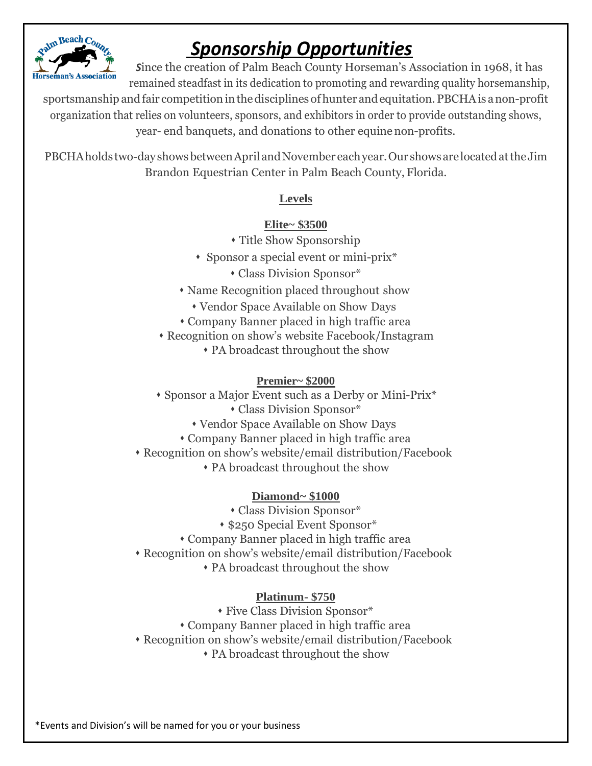

# *Sponsorship Opportunities*

*S*ince the creation of Palm Beach County Horseman's Association in 1968, it has remained steadfast in its dedication to promoting and rewarding quality horsemanship,

sportsmanship and fair competition in the disciplines of hunter and equitation. PBCHA is a non-profit organization that relies on volunteers, sponsors, and exhibitors in order to provide outstanding shows, year- end banquets, and donations to other equine non-profits.

PBCHAholds two-dayshowsbetweenAprilandNovember eachyear.Our showsarelocatedattheJim Brandon Equestrian Center in Palm Beach County, Florida.

#### **Levels**

### **Elite~ \$3500**

- ⬧ Title Show Sponsorship
- ⬧ Sponsor a special event or mini-prix\*
	- ⬧ Class Division Sponsor\*
- ⬧ Name Recognition placed throughout show
	- ⬧ Vendor Space Available on Show Days
- ⬧ Company Banner placed in high traffic area
- ⬧ Recognition on show's website Facebook/Instagram
	- ⬧ PA broadcast throughout the show

#### **Premier~ \$2000**

- ⬧ Sponsor a Major Event such as a Derby or Mini-Prix\*
	- ⬧ Class Division Sponsor\*
	- ⬧ Vendor Space Available on Show Days
	- ⬧ Company Banner placed in high traffic area
- ⬧ Recognition on show's website/email distribution/Facebook
	- ⬧ PA broadcast throughout the show

#### **Diamond~ \$1000**

- ⬧ Class Division Sponsor\*
- ⬧ \$250 Special Event Sponsor\*
- ⬧ Company Banner placed in high traffic area
- ⬧ Recognition on show's website/email distribution/Facebook
	- ⬧ PA broadcast throughout the show

#### **Platinum- \$750**

- ⬧ Five Class Division Sponsor\* ⬧ Company Banner placed in high traffic area
- ⬧ Recognition on show's website/email distribution/Facebook
	- ⬧ PA broadcast throughout the show